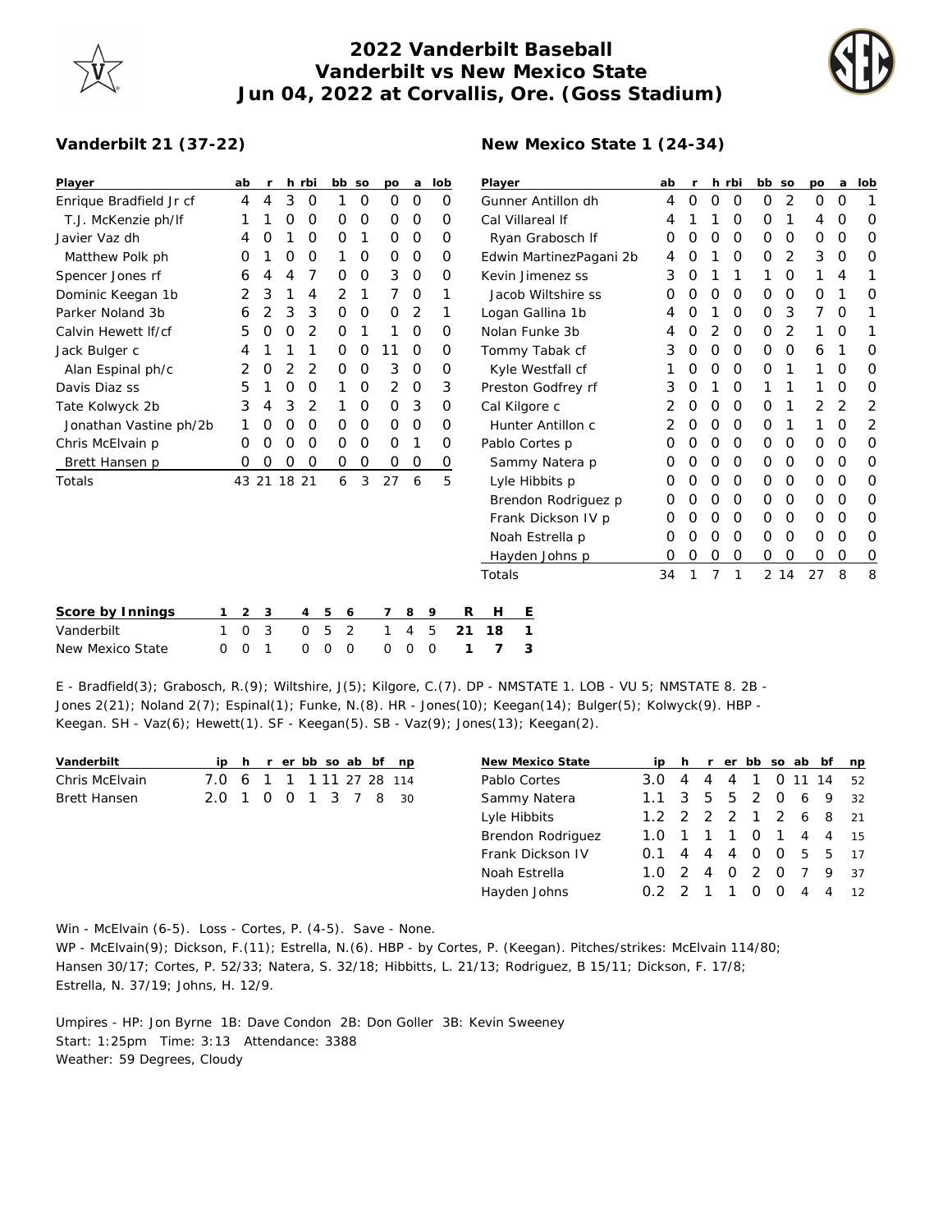## **2022 Vanderbilt Baseball Vanderbilt vs New Mexico State Jun 04, 2022 at Corvallis, Ore. (Goss Stadium)**

**New Mexico State 1 (24-34)**



## **Vanderbilt 21 (37-22)**

| Player                  | ab                  |   |       | h rbi | bb so  |   | po | a        | lob      | Player                  | ab |   |                | h rbi    | bb so       |          | po            | a        | lob |
|-------------------------|---------------------|---|-------|-------|--------|---|----|----------|----------|-------------------------|----|---|----------------|----------|-------------|----------|---------------|----------|-----|
| Enrique Bradfield Jr cf | 4                   | 4 | 3     | 0     |        | 0 | 0  | 0        | 0        | Gunner Antillon dh      | 4  | 0 | 0              | 0        | 0           | 2        | 0             | 0        | 1   |
| T.J. McKenzie ph/lf     |                     |   | 0     | 0     | 0      | O | 0  | 0        | 0        | Cal Villareal If        |    |   |                | 0        | O           |          | 4             | 0        | O   |
| Javier Vaz dh           | 4                   | O |       | O     | O      |   | 0  | 0        | 0        | Ryan Grabosch If        | O  | O | O              | 0        | 0           | 0        | 0             | 0        | 0   |
| Matthew Polk ph         | O                   |   | 0     | 0     |        | 0 | 0  | 0        | 0        | Edwin MartinezPagani 2b |    |   |                | $\Omega$ | 0           | 2        | 3             | $\Omega$ | O   |
| Spencer Jones rf        | 6                   |   | 4     |       | 0      | O | 3  | $\circ$  | $\Omega$ | Kevin Jimenez ss        |    | O |                |          |             | 0        |               | 4        | 1   |
| Dominic Keegan 1b       | 2                   | 3 |       | 4     | 2      |   | 7  | $\Omega$ |          | Jacob Wiltshire ss      |    | O | $\Omega$       | $\Omega$ | 0           | $\Omega$ | $\Omega$      |          | 0   |
| Parker Noland 3b        | 6                   |   | 3     | 3     | 0      | 0 | 0  | 2        |          | Logan Gallina 1b        |    | O |                | 0        | 0           | 3        | 7             | 0        | 1   |
| Calvin Hewett If/cf     | 5                   | 0 | 0     | 2     | Ο      |   |    | O        | $\Omega$ | Nolan Funke 3b          |    | O | 2              | 0        | 0           | 2        |               | O        | 1   |
| Jack Bulger c           |                     |   |       |       | Ο      | O | 11 | 0        | 0        | Tommy Tabak cf          |    | 0 | 0              | $\Omega$ | 0           | 0        | 6             |          | 0   |
| Alan Espinal ph/c       |                     | 0 |       | 2     | O      | O | 3  | $\circ$  | 0        | Kyle Westfall cf        |    | O | O              | 0        | 0           |          |               | O        | 0   |
| Davis Diaz ss           | 5                   |   | O     | Ο     |        | 0 | 2  | $\circ$  | 3        | Preston Godfrey rf      |    | O |                | 0        |             |          |               | O        | 0   |
| Tate Kolwyck 2b         | 3                   | 4 | 3     | 2     |        | 0 | 0  | 3        | 0        | Cal Kilgore c           | 2  | 0 | 0              | 0        | 0           |          | 2             | 2        | 2   |
| Jonathan Vastine ph/2b  |                     | 0 | 0     | 0     | O      | O | 0  | $\circ$  | 0        | Hunter Antillon c       |    |   | O              | 0        | 0           |          |               | O        | 2   |
| Chris McElvain p        | Ο                   | 0 | 0     | O     | 0      | 0 | 0  |          | 0        | Pablo Cortes p          | Ο  | O | $\Omega$       | 0        | 0           | 0        | O             | O        | 0   |
| Brett Hansen p          | 0                   | 0 | 0     | O     | 0      | 0 | 0  | 0        | 0        | Sammy Natera p          | O  | O | $\Omega$       | 0        | 0           | 0        | 0             | 0        | 0   |
| Totals                  | 43 21               |   | 18 21 |       | 6      | 3 | 27 | 6        | 5        | Lyle Hibbits p          | O  | O | $\Omega$       | 0        | 0           | 0        | $\mathcal{O}$ | $\Omega$ | 0   |
|                         |                     |   |       |       |        |   |    |          |          | Brendon Rodriguez p     | O  | O | 0              | 0        | 0           | 0        | 0             | 0        | 0   |
|                         |                     |   |       |       |        |   |    |          |          | Frank Dickson IV p      | 0  | O | $\Omega$       | 0        | 0           | 0        | $\mathcal{O}$ | 0        | 0   |
|                         |                     |   |       |       |        |   |    |          |          | Noah Estrella p         | O  |   | O              | $\Omega$ | 0           | 0        | 0             | O        | 0   |
|                         |                     |   |       |       |        |   |    |          |          | Hayden Johns p          | O  |   | 0              | 0        | $\mathbf 0$ | 0        | 0             | 0        | 0   |
|                         |                     |   |       |       |        |   |    |          |          | Totals                  | 34 |   | $\overline{7}$ | 1        | 2 14        |          | 27            | 8        | 8   |
| Score by Innings        | $\overline{2}$<br>1 | 3 |       | 4     | 5<br>6 |   | 7  | 8        | 9        | R<br>E<br>Н             |    |   |                |          |             |          |               |          |     |

| Score by Innings 1 2 3 4 5 6 7 8 9 R H E |  |  |  |  |                           |  |
|------------------------------------------|--|--|--|--|---------------------------|--|
| Vanderbilt                               |  |  |  |  | 1 0 3 0 5 2 1 4 5 21 18 1 |  |
| New Mexico State                         |  |  |  |  | 0 0 1 0 0 0 0 0 0 1 7 3   |  |

E - Bradfield(3); Grabosch, R.(9); Wiltshire, J(5); Kilgore, C.(7). DP - NMSTATE 1. LOB - VU 5; NMSTATE 8. 2B - Jones 2(21); Noland 2(7); Espinal(1); Funke, N.(8). HR - Jones(10); Keegan(14); Bulger(5); Kolwyck(9). HBP - Keegan. SH - Vaz $(6)$ ; Hewett $(1)$ . SF - Keegan $(5)$ . SB - Vaz $(9)$ ; Jones $(13)$ ; Keegan $(2)$ .

| Vanderbilt     |       |   |          |  |           |  | ip h r er bb so ab bf np |               | New Mexico State  |               |   |   |          |          |                |                |                | ip h r er bb so ab bf np |
|----------------|-------|---|----------|--|-----------|--|--------------------------|---------------|-------------------|---------------|---|---|----------|----------|----------------|----------------|----------------|--------------------------|
| Chris McElvain | 7.0   | 6 |          |  |           |  | 1 1 1 1 1 2 7 28 114     | Pablo Cortes  |                   | $3.0 \quad 4$ |   | 4 | 4        |          | $\overline{O}$ | 11 14          |                | 52                       |
| Brett Hansen   | 2.0 1 |   | $\Omega$ |  | 0 1 3 7 8 |  | -30                      |               | Sammy Natera      | $1.1 \quad 3$ |   | 5 | -5       | 2        | $\Omega$       | - 6            | - 9            | 32                       |
|                |       |   |          |  |           |  |                          | Lyle Hibbits  |                   | $1.2$ 2 2     |   |   |          |          |                |                | 1 2 6 8 21     |                          |
|                |       |   |          |  |           |  |                          |               | Brendon Rodriguez | 1.0           |   |   |          |          |                | $\overline{4}$ | $\overline{4}$ | 15                       |
|                |       |   |          |  |           |  |                          |               | Frank Dickson IV  | 0.1           | 4 | 4 | 4        | $\Omega$ | $\Omega$       | 5              | .5             | 17                       |
|                |       |   |          |  |           |  |                          | Noah Estrella |                   | $1.0 \t2$     |   | 4 | $\Omega$ |          | $\Omega$       |                | $\mathsf Q$    | 37                       |
|                |       |   |          |  |           |  |                          |               | Hayden Johns      |               |   |   |          |          |                | 4              | $\overline{4}$ | 12                       |
|                |       |   |          |  |           |  |                          |               |                   |               |   |   |          |          |                |                |                |                          |

Win - McElvain (6-5). Loss - Cortes, P. (4-5). Save - None.

WP - McElvain(9); Dickson, F.(11); Estrella, N.(6). HBP - by Cortes, P. (Keegan). Pitches/strikes: McElvain 114/80; Hansen 30/17; Cortes, P. 52/33; Natera, S. 32/18; Hibbitts, L. 21/13; Rodriguez, B 15/11; Dickson, F. 17/8; Estrella, N. 37/19; Johns, H. 12/9.

Umpires - HP: Jon Byrne 1B: Dave Condon 2B: Don Goller 3B: Kevin Sweeney Start: 1:25pm Time: 3:13 Attendance: 3388 Weather: 59 Degrees, Cloudy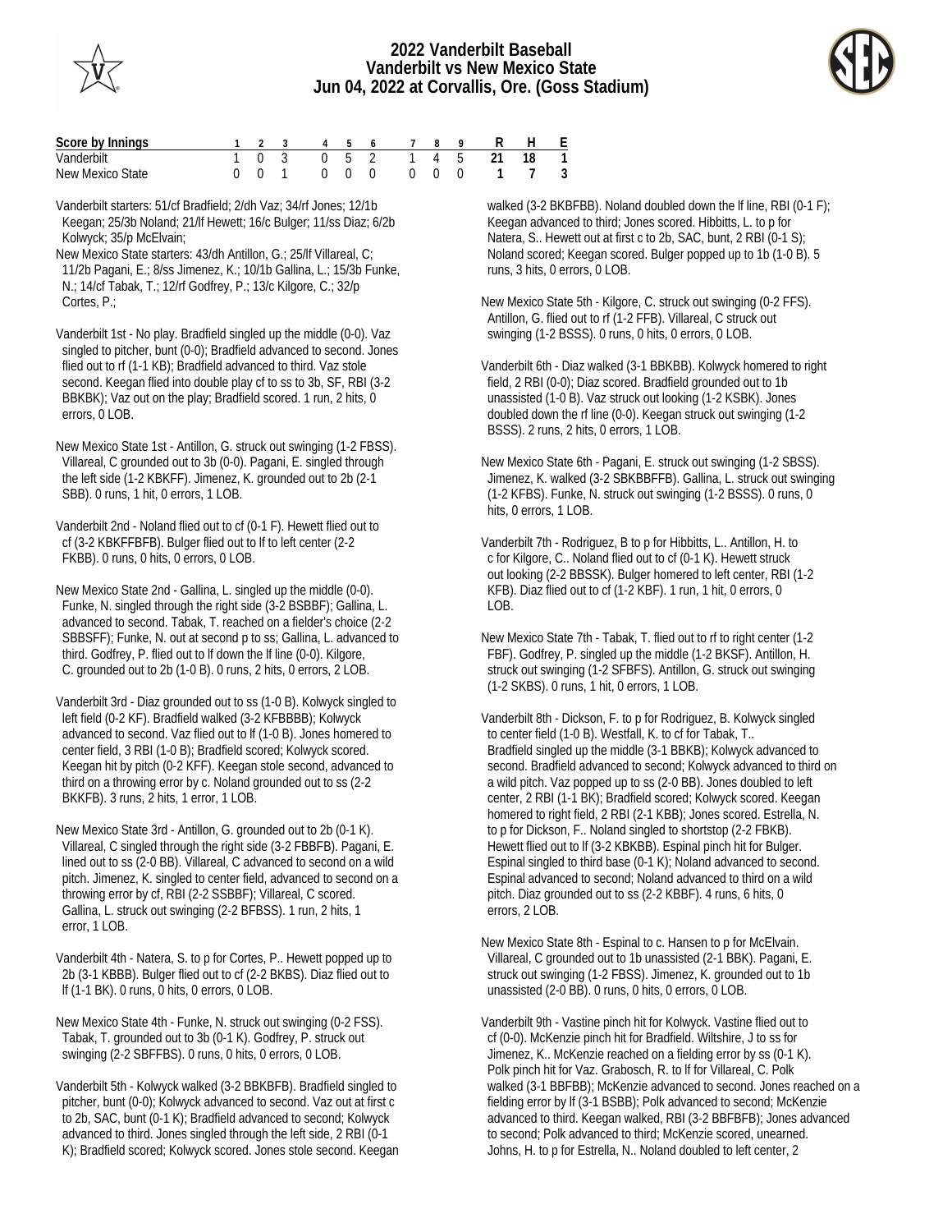

## **2022 Vanderbilt Baseball Vanderbilt vs New Mexico State Jun 04, 2022 at Corvallis, Ore. (Goss Stadium)**



| Score by Innings |  | 1 2 3 4 5 6 7                              |  |  | R                       | H F |  |
|------------------|--|--------------------------------------------|--|--|-------------------------|-----|--|
| Vanderbilt       |  |                                            |  |  | 1 0 3 0 5 2 1 4 5 21 18 |     |  |
| New Mexico State |  | $\begin{array}{ccc} & & 0 & 0 \end{array}$ |  |  | 0 0 0 1 7 3             |     |  |

Vanderbilt starters: 51/cf Bradfield; 2/dh Vaz; 34/rf Jones; 12/1b Keegan; 25/3b Noland; 21/lf Hewett; 16/c Bulger; 11/ss Diaz; 6/2b Kolwyck; 35/p McElvain;

New Mexico State starters: 43/dh Antillon, G.; 25/lf Villareal, C; 11/2b Pagani, E.; 8/ss Jimenez, K.; 10/1b Gallina, L.; 15/3b Funke, N.; 14/cf Tabak, T.; 12/rf Godfrey, P.; 13/c Kilgore, C.; 32/p Cortes, P.;

Vanderbilt 1st - No play. Bradfield singled up the middle (0-0). Vaz singled to pitcher, bunt (0-0); Bradfield advanced to second. Jones flied out to rf (1-1 KB); Bradfield advanced to third. Vaz stole second. Keegan flied into double play cf to ss to 3b, SF, RBI (3-2 BBKBK); Vaz out on the play; Bradfield scored. 1 run, 2 hits, 0 errors, 0 LOB.

New Mexico State 1st - Antillon, G. struck out swinging (1-2 FBSS). Villareal, C grounded out to 3b (0-0). Pagani, E. singled through the left side (1-2 KBKFF). Jimenez, K. grounded out to 2b (2-1 SBB). 0 runs, 1 hit, 0 errors, 1 LOB.

Vanderbilt 2nd - Noland flied out to cf (0-1 F). Hewett flied out to cf (3-2 KBKFFBFB). Bulger flied out to lf to left center (2-2 FKBB). 0 runs, 0 hits, 0 errors, 0 LOB.

New Mexico State 2nd - Gallina, L. singled up the middle (0-0). Funke, N. singled through the right side (3-2 BSBBF); Gallina, L. advanced to second. Tabak, T. reached on a fielder's choice (2-2 SBBSFF); Funke, N. out at second p to ss; Gallina, L. advanced to third. Godfrey, P. flied out to lf down the lf line (0-0). Kilgore, C. grounded out to 2b (1-0 B). 0 runs, 2 hits, 0 errors, 2 LOB.

Vanderbilt 3rd - Diaz grounded out to ss (1-0 B). Kolwyck singled to left field (0-2 KF). Bradfield walked (3-2 KFBBBB); Kolwyck advanced to second. Vaz flied out to lf (1-0 B). Jones homered to center field, 3 RBI (1-0 B); Bradfield scored; Kolwyck scored. Keegan hit by pitch (0-2 KFF). Keegan stole second, advanced to third on a throwing error by c. Noland grounded out to ss (2-2 BKKFB). 3 runs, 2 hits, 1 error, 1 LOB.

New Mexico State 3rd - Antillon, G. grounded out to 2b (0-1 K). Villareal, C singled through the right side (3-2 FBBFB). Pagani, E. lined out to ss (2-0 BB). Villareal, C advanced to second on a wild pitch. Jimenez, K. singled to center field, advanced to second on a throwing error by cf, RBI (2-2 SSBBF); Villareal, C scored. Gallina, L. struck out swinging (2-2 BFBSS). 1 run, 2 hits, 1 error, 1 LOB.

Vanderbilt 4th - Natera, S. to p for Cortes, P.. Hewett popped up to 2b (3-1 KBBB). Bulger flied out to cf (2-2 BKBS). Diaz flied out to lf (1-1 BK). 0 runs, 0 hits, 0 errors, 0 LOB.

New Mexico State 4th - Funke, N. struck out swinging (0-2 FSS). Tabak, T. grounded out to 3b (0-1 K). Godfrey, P. struck out swinging (2-2 SBFFBS). 0 runs, 0 hits, 0 errors, 0 LOB.

Vanderbilt 5th - Kolwyck walked (3-2 BBKBFB). Bradfield singled to pitcher, bunt (0-0); Kolwyck advanced to second. Vaz out at first c to 2b, SAC, bunt (0-1 K); Bradfield advanced to second; Kolwyck advanced to third. Jones singled through the left side, 2 RBI (0-1 K); Bradfield scored; Kolwyck scored. Jones stole second. Keegan walked (3-2 BKBFBB). Noland doubled down the lf line, RBI (0-1 F); Keegan advanced to third; Jones scored. Hibbitts, L. to p for Natera, S.. Hewett out at first c to 2b, SAC, bunt, 2 RBI (0-1 S); Noland scored; Keegan scored. Bulger popped up to 1b (1-0 B). 5 runs, 3 hits, 0 errors, 0 LOB.

New Mexico State 5th - Kilgore, C. struck out swinging (0-2 FFS). Antillon, G. flied out to rf (1-2 FFB). Villareal, C struck out swinging (1-2 BSSS). 0 runs, 0 hits, 0 errors, 0 LOB.

Vanderbilt 6th - Diaz walked (3-1 BBKBB). Kolwyck homered to right field, 2 RBI (0-0); Diaz scored. Bradfield grounded out to 1b unassisted (1-0 B). Vaz struck out looking (1-2 KSBK). Jones doubled down the rf line (0-0). Keegan struck out swinging (1-2 BSSS). 2 runs, 2 hits, 0 errors, 1 LOB.

New Mexico State 6th - Pagani, E. struck out swinging (1-2 SBSS). Jimenez, K. walked (3-2 SBKBBFFB). Gallina, L. struck out swinging (1-2 KFBS). Funke, N. struck out swinging (1-2 BSSS). 0 runs, 0 hits, 0 errors, 1 LOB.

Vanderbilt 7th - Rodriguez, B to p for Hibbitts, L.. Antillon, H. to c for Kilgore, C.. Noland flied out to cf (0-1 K). Hewett struck out looking (2-2 BBSSK). Bulger homered to left center, RBI (1-2 KFB). Diaz flied out to cf (1-2 KBF). 1 run, 1 hit, 0 errors, 0  $LOB.$ 

New Mexico State 7th - Tabak, T. flied out to rf to right center (1-2 FBF). Godfrey, P. singled up the middle (1-2 BKSF). Antillon, H. struck out swinging (1-2 SFBFS). Antillon, G. struck out swinging (1-2 SKBS). 0 runs, 1 hit, 0 errors, 1 LOB.

Vanderbilt 8th - Dickson, F. to p for Rodriguez, B. Kolwyck singled to center field (1-0 B). Westfall, K. to cf for Tabak, T.. Bradfield singled up the middle (3-1 BBKB); Kolwyck advanced to second. Bradfield advanced to second; Kolwyck advanced to third on a wild pitch. Vaz popped up to ss (2-0 BB). Jones doubled to left center, 2 RBI (1-1 BK); Bradfield scored; Kolwyck scored. Keegan homered to right field, 2 RBI (2-1 KBB); Jones scored. Estrella, N. to p for Dickson, F.. Noland singled to shortstop (2-2 FBKB). Hewett flied out to lf (3-2 KBKBB). Espinal pinch hit for Bulger. Espinal singled to third base (0-1 K); Noland advanced to second. Espinal advanced to second; Noland advanced to third on a wild pitch. Diaz grounded out to ss (2-2 KBBF). 4 runs, 6 hits, 0 errors, 2 LOB.

New Mexico State 8th - Espinal to c. Hansen to p for McElvain. Villareal, C grounded out to 1b unassisted (2-1 BBK). Pagani, E. struck out swinging (1-2 FBSS). Jimenez, K. grounded out to 1b unassisted (2-0 BB). 0 runs, 0 hits, 0 errors, 0 LOB.

Vanderbilt 9th - Vastine pinch hit for Kolwyck. Vastine flied out to cf (0-0). McKenzie pinch hit for Bradfield. Wiltshire, J to ss for Jimenez, K.. McKenzie reached on a fielding error by ss (0-1 K). Polk pinch hit for Vaz. Grabosch, R. to lf for Villareal, C. Polk walked (3-1 BBFBB); McKenzie advanced to second. Jones reached on a fielding error by lf (3-1 BSBB); Polk advanced to second; McKenzie advanced to third. Keegan walked, RBI (3-2 BBFBFB); Jones advanced to second; Polk advanced to third; McKenzie scored, unearned. Johns, H. to p for Estrella, N.. Noland doubled to left center, 2